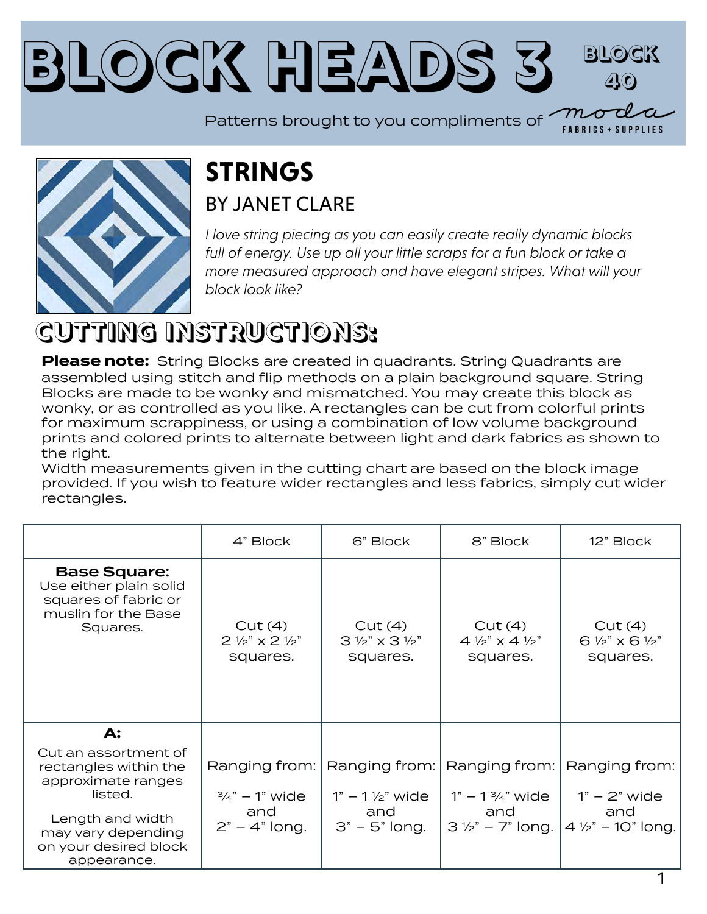#### **Block Heads [3](https://modafabrics.com) Block 40**

Patterns brought to you compliments of  $\overline{\mathcal{M}}$ 



#### **STRINGS** BY JANFT CLARE

*I love string piecing as you can easily create really dynamic blocks*  full of energy. Use up all your little scraps for a fun block or take a *more measured approach and have elegant stripes. What will your block look like?*

# **CUTTING INSTRUCTIONS:**

**Please note:** String Blocks are created in quadrants. String Quadrants are assembled using stitch and flip methods on a plain background square. String Blocks are made to be wonky and mismatched. You may create this block as wonky, or as controlled as you like. A rectangles can be cut from colorful prints for maximum scrappiness, or using a combination of low volume background prints and colored prints to alternate between light and dark fabrics as shown to the right.

Width measurements given in the cutting chart are based on the block image provided. If you wish to feature wider rectangles and less fabrics, simply cut wider rectangles.

|                                                                                                                                                                  | 4" Block                                                      | 6" Block                                                  | 8" Block                                                                                                           | 12" Block                                                            |
|------------------------------------------------------------------------------------------------------------------------------------------------------------------|---------------------------------------------------------------|-----------------------------------------------------------|--------------------------------------------------------------------------------------------------------------------|----------------------------------------------------------------------|
| <b>Base Square:</b><br>Use either plain solid<br>squares of fabric or<br>muslin for the Base<br>Squares.                                                         | Cut(4)<br>$2\frac{1}{2}$ $\times$ 2 $\frac{1}{2}$<br>squares. | Cut(4)<br>$3\frac{1}{2}$ " x $3\frac{1}{2}$ "<br>squares. | Cut(4)<br>$4\frac{1}{2}$ $\times$ 4 $\frac{1}{2}$<br>squares.                                                      | Cut(4)<br>$6\frac{1}{2}$ x 6 $\frac{1}{2}$<br>squares.               |
| A:                                                                                                                                                               |                                                               |                                                           |                                                                                                                    |                                                                      |
| Cut an assortment of<br>rectangles within the<br>approximate ranges<br>listed.<br>Length and width<br>may vary depending<br>on your desired block<br>appearance. | $\frac{3}{4}$ " – 1" wide<br>and<br>$2" - 4"$ long.           | $1" - 1\frac{1}{2}"$ wide<br>and<br>$3" - 5"$ long.       | Ranging from:   Ranging from:   Ranging from:  <br>$1" - 1\frac{3}{4}"$ wide<br>and<br>$3\frac{1}{2}$ " – 7" long. | Ranging from:<br>$1" - 2"$ wide<br>and<br>$4\frac{1}{2}$ – 10" long. |

1

**FABRICS + SUPPLIES**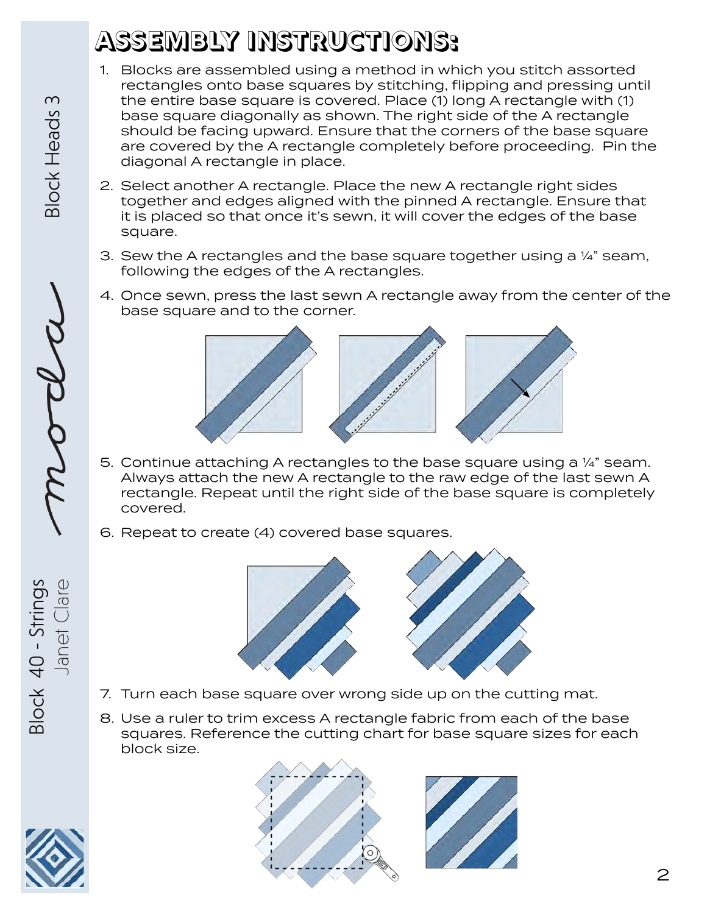# **ASSEMBLY INSTRUCTIONS:**

- 1. Blocks are assembled using a method in which you stitch assorted rectangles onto base squares by stitching, flipping and pressing until the entire base square is covered. Place (1) long A rectangle with (1) base square diagonally as shown. The right side of the A rectangle should be facing upward. Ensure that the corners of the base square are covered by the A rectangle completely before proceeding. Pin the diagonal A rectangle in place.
- 2. Select another A rectangle. Place the new A rectangle right sides together and edges aligned with the pinned A rectangle. Ensure that it is placed so that once it's sewn, it will cover the edges of the base square.
- 3. Sew the A rectangles and the base square together using a  $\frac{1}{4}$ " seam, following the edges of the A rectangles.
- 4. Once sewn, press the last sewn A rectangle away from the center of the base square and to the corner.



- 5. Continue attaching A rectangles to the base square using a ¼" seam. Always attach the new A rectangle to the raw edge of the last sewn A rectangle. Repeat until the right side of the base square is completely covered.
- 6. Repeat to create (4) covered base squares.



- 7. Turn each base square over wrong side up on the cutting mat.
- 8. Use a ruler to trim excess A rectangle fabric from each of the base squares. Reference the cutting chart for base square sizes for each block size.



Block 40 - Strings

Janet Clare

Block 40 - Strings